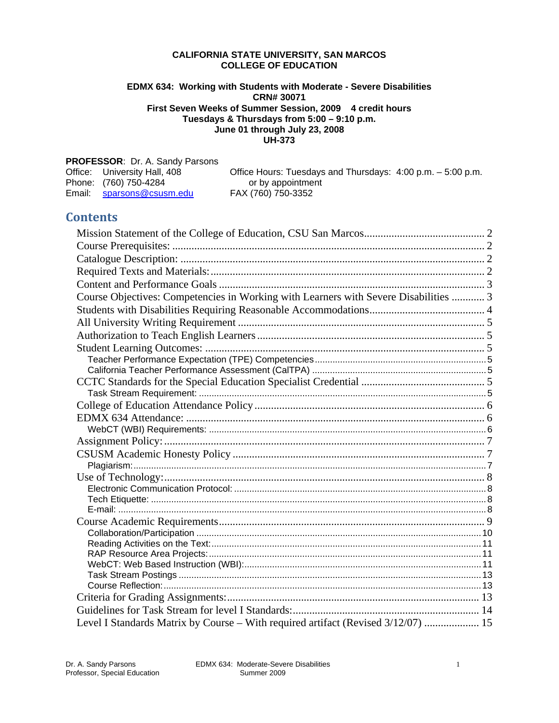### **CALIFORNIA STATE UNIVERSITY, SAN MARCOS COLLEGE OF EDUCATION**

### **EDMX 634: Working with Students with Moderate - Severe Disabilities CRN# 30071 First Seven Weeks of Summer Session, 2009 4 credit hours Tuesdays & Thursdays from 5:00 – 9:10 p.m. June 01 through July 23, 2008 UH-373**

| <b>PROFESSOR: Dr. A. Sandy Parsons</b> |                                                             |
|----------------------------------------|-------------------------------------------------------------|
| Office: University Hall, 408           | Office Hours: Tuesdays and Thursdays: 4:00 p.m. – 5:00 p.m. |
| Phone: (760) 750-4284                  | or by appointment                                           |
| Email: sparsons@csusm.edu              | FAX (760) 750-3352                                          |

# **Contents**

| Course Objectives: Competencies in Working with Learners with Severe Disabilities  3 |  |
|--------------------------------------------------------------------------------------|--|
|                                                                                      |  |
|                                                                                      |  |
|                                                                                      |  |
|                                                                                      |  |
|                                                                                      |  |
|                                                                                      |  |
|                                                                                      |  |
|                                                                                      |  |
|                                                                                      |  |
|                                                                                      |  |
|                                                                                      |  |
|                                                                                      |  |
|                                                                                      |  |
|                                                                                      |  |
|                                                                                      |  |
|                                                                                      |  |
|                                                                                      |  |
|                                                                                      |  |
|                                                                                      |  |
|                                                                                      |  |
|                                                                                      |  |
|                                                                                      |  |
|                                                                                      |  |
|                                                                                      |  |
|                                                                                      |  |
|                                                                                      |  |
| Level I Standards Matrix by Course - With required artifact (Revised 3/12/07)  15    |  |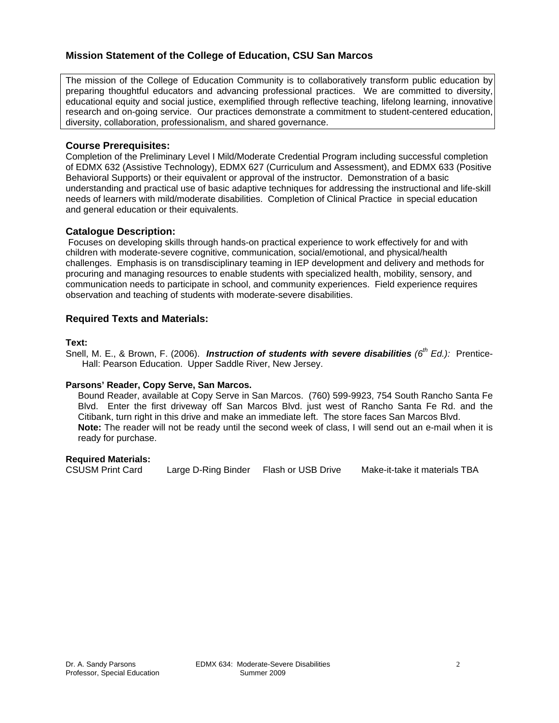# <span id="page-1-0"></span>**Mission Statement of the College of Education, CSU San Marcos**

The mission of the College of Education Community is to collaboratively transform public education by preparing thoughtful educators and advancing professional practices. We are committed to diversity, educational equity and social justice, exemplified through reflective teaching, lifelong learning, innovative research and on-going service. Our practices demonstrate a commitment to student-centered education, diversity, collaboration, professionalism, and shared governance.

# **Course Prerequisites:**

Completion of the Preliminary Level I Mild/Moderate Credential Program including successful completion of EDMX 632 (Assistive Technology), EDMX 627 (Curriculum and Assessment), and EDMX 633 (Positive Behavioral Supports) or their equivalent or approval of the instructor. Demonstration of a basic understanding and practical use of basic adaptive techniques for addressing the instructional and life-skill needs of learners with mild/moderate disabilities. Completion of Clinical Practice in special education and general education or their equivalents.

# **Catalogue Description:**

 Focuses on developing skills through hands-on practical experience to work effectively for and with children with moderate-severe cognitive, communication, social/emotional, and physical/health challenges. Emphasis is on transdisciplinary teaming in IEP development and delivery and methods for procuring and managing resources to enable students with specialized health, mobility, sensory, and communication needs to participate in school, and community experiences. Field experience requires observation and teaching of students with moderate-severe disabilities.

# **Required Texts and Materials:**

### **Text:**

Snell, M. E., & Brown, F. (2006). *Instruction of students with severe disabilities (6th Ed.):* Prentice-Hall: Pearson Education. Upper Saddle River, New Jersey.

# **Parsons' Reader, Copy Serve, San Marcos.**

Bound Reader, available at Copy Serve in San Marcos. (760) 599-9923, 754 South Rancho Santa Fe Blvd. Enter the first driveway off San Marcos Blvd. just west of Rancho Santa Fe Rd. and the Citibank, turn right in this drive and make an immediate left. The store faces San Marcos Blvd. **Note:** The reader will not be ready until the second week of class, I will send out an e-mail when it is ready for purchase.

# **Required Materials:**

CSUSM Print Card Large D-Ring Binder Flash or USB Drive Make-it-take it materials TBA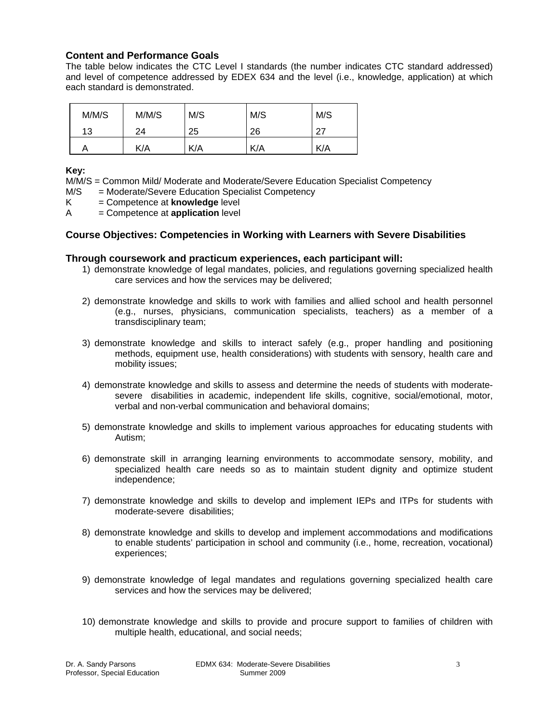# **Content and Performance Goals**

The table below indicates the CTC Level I standards (the number indicates CTC standard addressed) and level of competence addressed by EDEX 634 and the level (i.e., knowledge, application) at which each standard is demonstrated.

| M/M/S | M/M/S | M/S | M/S | M/S |
|-------|-------|-----|-----|-----|
| 13    | 24    | 25  | 26  | דר  |
|       | K/A   | K/A | K/A | K/A |

# **Key:**

M/M/S = Common Mild/ Moderate and Moderate/Severe Education Specialist Competency

- M/S = Moderate/Severe Education Specialist Competency
- K = Competence at **knowledge** level
- A = Competence at **application** level

# **Course Objectives: Competencies in Working with Learners with Severe Disabilities**

### **Through coursework and practicum experiences, each participant will:**

- 1) demonstrate knowledge of legal mandates, policies, and regulations governing specialized health care services and how the services may be delivered;
- 2) demonstrate knowledge and skills to work with families and allied school and health personnel (e.g., nurses, physicians, communication specialists, teachers) as a member of a transdisciplinary team;
- 3) demonstrate knowledge and skills to interact safely (e.g., proper handling and positioning methods, equipment use, health considerations) with students with sensory, health care and mobility issues;
- 4) demonstrate knowledge and skills to assess and determine the needs of students with moderatesevere disabilities in academic, independent life skills, cognitive, social/emotional, motor, verbal and non-verbal communication and behavioral domains;
- 5) demonstrate knowledge and skills to implement various approaches for educating students with Autism;
- 6) demonstrate skill in arranging learning environments to accommodate sensory, mobility, and specialized health care needs so as to maintain student dignity and optimize student independence;
- 7) demonstrate knowledge and skills to develop and implement IEPs and ITPs for students with moderate-severe disabilities;
- 8) demonstrate knowledge and skills to develop and implement accommodations and modifications to enable students' participation in school and community (i.e., home, recreation, vocational) experiences;
- 9) demonstrate knowledge of legal mandates and regulations governing specialized health care services and how the services may be delivered;
- 10) demonstrate knowledge and skills to provide and procure support to families of children with multiple health, educational, and social needs;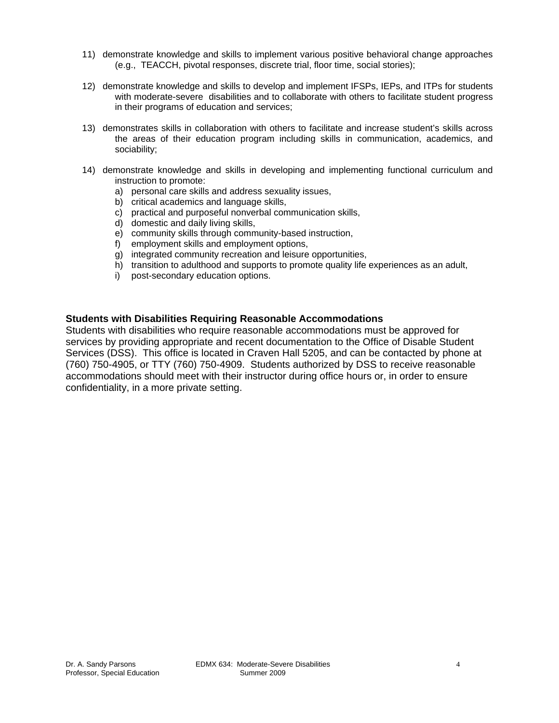- <span id="page-3-0"></span>11) demonstrate knowledge and skills to implement various positive behavioral change approaches (e.g., TEACCH, pivotal responses, discrete trial, floor time, social stories);
- 12) demonstrate knowledge and skills to develop and implement IFSPs, IEPs, and ITPs for students with moderate-severe disabilities and to collaborate with others to facilitate student progress in their programs of education and services;
- 13) demonstrates skills in collaboration with others to facilitate and increase student's skills across the areas of their education program including skills in communication, academics, and sociability;
- 14) demonstrate knowledge and skills in developing and implementing functional curriculum and instruction to promote:
	- a) personal care skills and address sexuality issues,
	- b) critical academics and language skills,
	- c) practical and purposeful nonverbal communication skills,
	- d) domestic and daily living skills,
	- e) community skills through community-based instruction,
	- f) employment skills and employment options,
	- g) integrated community recreation and leisure opportunities,
	- h) transition to adulthood and supports to promote quality life experiences as an adult,
	- i) post-secondary education options.

# **Students with Disabilities Requiring Reasonable Accommodations**

Students with disabilities who require reasonable accommodations must be approved for services by providing appropriate and recent documentation to the Office of Disable Student Services (DSS). This office is located in Craven Hall 5205, and can be contacted by phone at (760) 750-4905, or TTY (760) 750-4909. Students authorized by DSS to receive reasonable accommodations should meet with their instructor during office hours or, in order to ensure confidentiality, in a more private setting.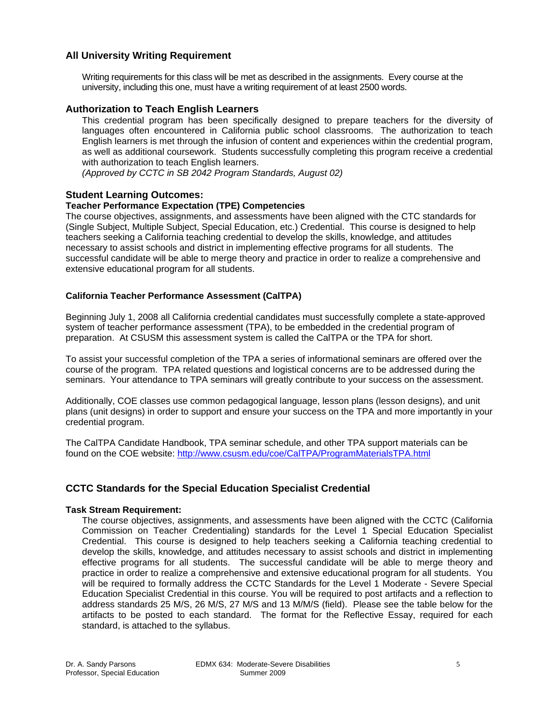# <span id="page-4-0"></span>**All University Writing Requirement**

Writing requirements for this class will be met as described in the assignments. Every course at the university, including this one, must have a writing requirement of at least 2500 words.

### **Authorization to Teach English Learners**

This credential program has been specifically designed to prepare teachers for the diversity of languages often encountered in California public school classrooms. The authorization to teach English learners is met through the infusion of content and experiences within the credential program, as well as additional coursework. Students successfully completing this program receive a credential with authorization to teach English learners.

*(Approved by CCTC in SB 2042 Program Standards, August 02)* 

### **Student Learning Outcomes:**

### **Teacher Performance Expectation (TPE) Competencies**

The course objectives, assignments, and assessments have been aligned with the CTC standards for (Single Subject, Multiple Subject, Special Education, etc.) Credential. This course is designed to help teachers seeking a California teaching credential to develop the skills, knowledge, and attitudes necessary to assist schools and district in implementing effective programs for all students. The successful candidate will be able to merge theory and practice in order to realize a comprehensive and extensive educational program for all students.

### **California Teacher Performance Assessment (CalTPA)**

Beginning July 1, 2008 all California credential candidates must successfully complete a state-approved system of teacher performance assessment (TPA), to be embedded in the credential program of preparation. At CSUSM this assessment system is called the CalTPA or the TPA for short.

To assist your successful completion of the TPA a series of informational seminars are offered over the course of the program. TPA related questions and logistical concerns are to be addressed during the seminars. Your attendance to TPA seminars will greatly contribute to your success on the assessment.

Additionally, COE classes use common pedagogical language, lesson plans (lesson designs), and unit plans (unit designs) in order to support and ensure your success on the TPA and more importantly in your credential program.

The CalTPA Candidate Handbook, TPA seminar schedule, and other TPA support materials can be found on the COE website: http://www.csusm.edu/coe/CalTPA/ProgramMaterialsTPA.html

# **CCTC Standards for the Special Education Specialist Credential**

### **Task Stream Requirement:**

The course objectives, assignments, and assessments have been aligned with the CCTC (California Commission on Teacher Credentialing) standards for the Level 1 Special Education Specialist Credential. This course is designed to help teachers seeking a California teaching credential to develop the skills, knowledge, and attitudes necessary to assist schools and district in implementing effective programs for all students. The successful candidate will be able to merge theory and practice in order to realize a comprehensive and extensive educational program for all students. You will be required to formally address the CCTC Standards for the Level 1 Moderate - Severe Special Education Specialist Credential in this course. You will be required to post artifacts and a reflection to address standards 25 M/S, 26 M/S, 27 M/S and 13 M/M/S (field). Please see the table below for the artifacts to be posted to each standard. The format for the Reflective Essay, required for each standard, is attached to the syllabus.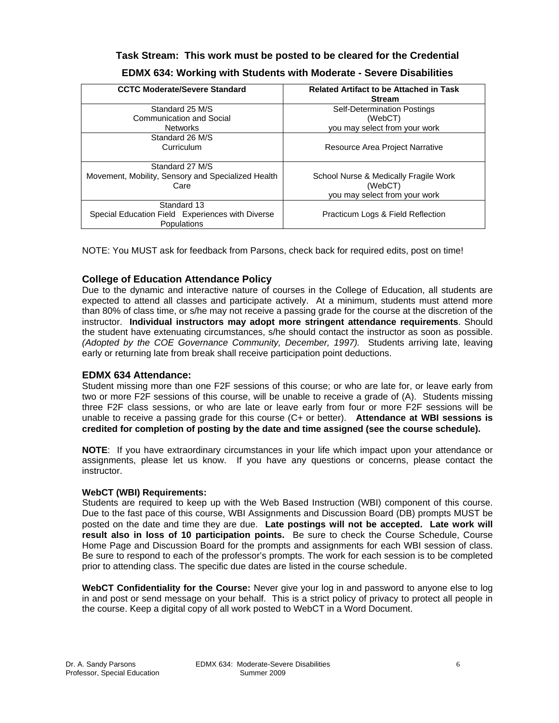# **Task Stream: This work must be posted to be cleared for the Credential EDMX 634: Working with Students with Moderate - Severe Disabilities**

| <b>CCTC Moderate/Severe Standard</b>               | <b>Related Artifact to be Attached in Task</b><br><b>Stream</b> |
|----------------------------------------------------|-----------------------------------------------------------------|
| Standard 25 M/S                                    | <b>Self-Determination Postings</b>                              |
| Communication and Social                           | (WebCT)                                                         |
| <b>Networks</b>                                    | you may select from your work                                   |
| Standard 26 M/S                                    |                                                                 |
| Curriculum                                         | Resource Area Project Narrative                                 |
|                                                    |                                                                 |
| Standard 27 M/S                                    |                                                                 |
| Movement, Mobility, Sensory and Specialized Health | School Nurse & Medically Fragile Work                           |
| Care                                               | (WebCT)                                                         |
|                                                    | you may select from your work                                   |
| Standard 13                                        |                                                                 |
| Special Education Field Experiences with Diverse   | Practicum Logs & Field Reflection                               |
| Populations                                        |                                                                 |

NOTE: You MUST ask for feedback from Parsons, check back for required edits, post on time!

# **College of Education Attendance Policy**

 instructor. **Individual instructors may adopt more stringent attendance requirements**. Should Due to the dynamic and interactive nature of courses in the College of Education, all students are expected to attend all classes and participate actively. At a minimum, students must attend more than 80% of class time, or s/he may not receive a passing grade for the course at the discretion of the the student have extenuating circumstances, s/he should contact the instructor as soon as possible. *(Adopted by the COE Governance Community, December, 1997).* Students arriving late, leaving early or returning late from break shall receive participation point deductions.

# **EDMX 634 Attendance:**

Student missing more than one F2F sessions of this course; or who are late for, or leave early from two or more F2F sessions of this course, will be unable to receive a grade of (A). Students missing three F2F class sessions, or who are late or leave early from four or more F2F sessions will be unable to receive a passing grade for this course (C+ or better). **Attendance at WBI sessions is credited for completion of posting by the date and time assigned (see the course schedule).** 

**NOTE**: If you have extraordinary circumstances in your life which impact upon your attendance or assignments, please let us know. If you have any questions or concerns, please contact the instructor.

# **WebCT (WBI) Requirements:**

Students are required to keep up with the Web Based Instruction (WBI) component of this course. Due to the fast pace of this course, WBI Assignments and Discussion Board (DB) prompts MUST be posted on the date and time they are due. **Late postings will not be accepted. Late work will result also in loss of 10 participation points.** Be sure to check the Course Schedule, Course Home Page and Discussion Board for the prompts and assignments for each WBI session of class. Be sure to respond to each of the professor's prompts. The work for each session is to be completed prior to attending class. The specific due dates are listed in the course schedule.

**WebCT Confidentiality for the Course:** Never give your log in and password to anyone else to log in and post or send message on your behalf. This is a strict policy of privacy to protect all people in the course. Keep a digital copy of all work posted to WebCT in a Word Document.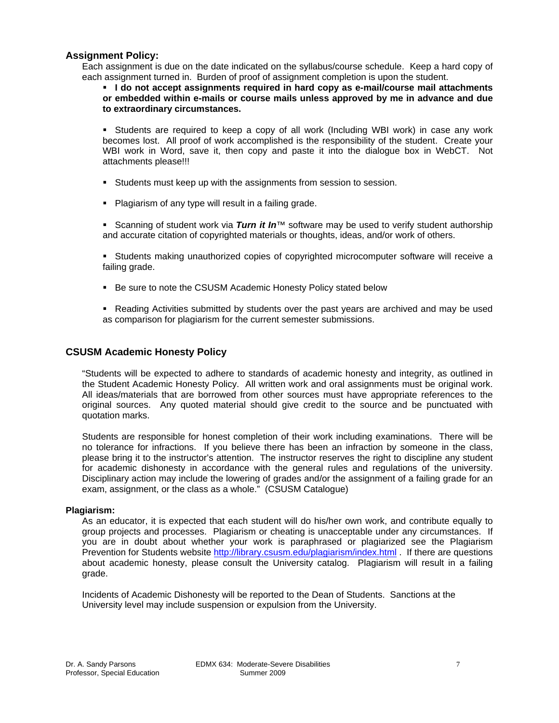# <span id="page-6-0"></span>**Assignment Policy:**

Each assignment is due on the date indicated on the syllabus/course schedule. Keep a hard copy of each assignment turned in. Burden of proof of assignment completion is upon the student.

 **I do not accept assignments required in hard copy as e-mail/course mail attachments or embedded within e-mails or course mails unless approved by me in advance and due to extraordinary circumstances.** 

 Students are required to keep a copy of all work (Including WBI work) in case any work becomes lost. All proof of work accomplished is the responsibility of the student. Create your WBI work in Word, save it, then copy and paste it into the dialogue box in WebCT. Not attachments please!!!

- Students must keep up with the assignments from session to session.
- **Plagiarism of any type will result in a failing grade.**

■ Scanning of student work via *Turn it In*™ software may be used to verify student authorship and accurate citation of copyrighted materials or thoughts, ideas, and/or work of others.

**Students making unauthorized copies of copyrighted microcomputer software will receive a** failing grade.

- Be sure to note the CSUSM Academic Honesty Policy stated below
- Reading Activities submitted by students over the past years are archived and may be used as comparison for plagiarism for the current semester submissions.

# **CSUSM Academic Honesty Policy**

"Students will be expected to adhere to standards of academic honesty and integrity, as outlined in the Student Academic Honesty Policy. All written work and oral assignments must be original work. All ideas/materials that are borrowed from other sources must have appropriate references to the original sources. Any quoted material should give credit to the source and be punctuated with quotation marks.

Students are responsible for honest completion of their work including examinations. There will be no tolerance for infractions. If you believe there has been an infraction by someone in the class, please bring it to the instructor's attention. The instructor reserves the right to discipline any student for academic dishonesty in accordance with the general rules and regulations of the university. Disciplinary action may include the lowering of grades and/or the assignment of a failing grade for an exam, assignment, or the class as a whole." (CSUSM Catalogue)

### **Plagiarism:**

As an educator, it is expected that each student will do his/her own work, and contribute equally to group projects and processes. Plagiarism or cheating is unacceptable under any circumstances. If you are in doubt about whether your work is paraphrased or plagiarized see the Plagiarism Prevention for Students website http://library.csusm.edu/plagiarism/index.html . If there are questions about academic honesty, please consult the University catalog. Plagiarism will result in a failing grade.

Incidents of Academic Dishonesty will be reported to the Dean of Students. Sanctions at the University level may include suspension or expulsion from the University.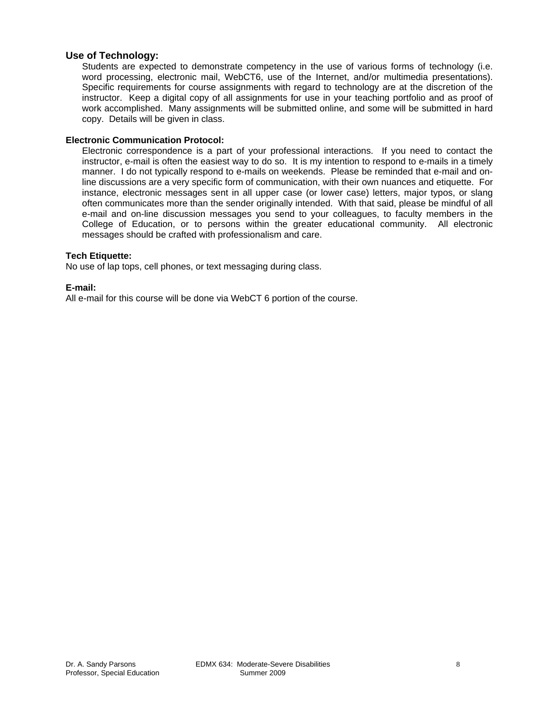### <span id="page-7-0"></span>**Use of Technology:**

Students are expected to demonstrate competency in the use of various forms of technology (i.e. word processing, electronic mail, WebCT6, use of the Internet, and/or multimedia presentations). Specific requirements for course assignments with regard to technology are at the discretion of the instructor. Keep a digital copy of all assignments for use in your teaching portfolio and as proof of work accomplished. Many assignments will be submitted online, and some will be submitted in hard copy. Details will be given in class.

### **Electronic Communication Protocol:**

Electronic correspondence is a part of your professional interactions. If you need to contact the instructor, e-mail is often the easiest way to do so. It is my intention to respond to e-mails in a timely manner. I do not typically respond to e-mails on weekends. Please be reminded that e-mail and online discussions are a very specific form of communication, with their own nuances and etiquette. For instance, electronic messages sent in all upper case (or lower case) letters, major typos, or slang often communicates more than the sender originally intended. With that said, please be mindful of all e-mail and on-line discussion messages you send to your colleagues, to faculty members in the College of Education, or to persons within the greater educational community. All electronic messages should be crafted with professionalism and care.

### **Tech Etiquette:**

No use of lap tops, cell phones, or text messaging during class.

### **E-mail:**

All e-mail for this course will be done via WebCT 6 portion of the course.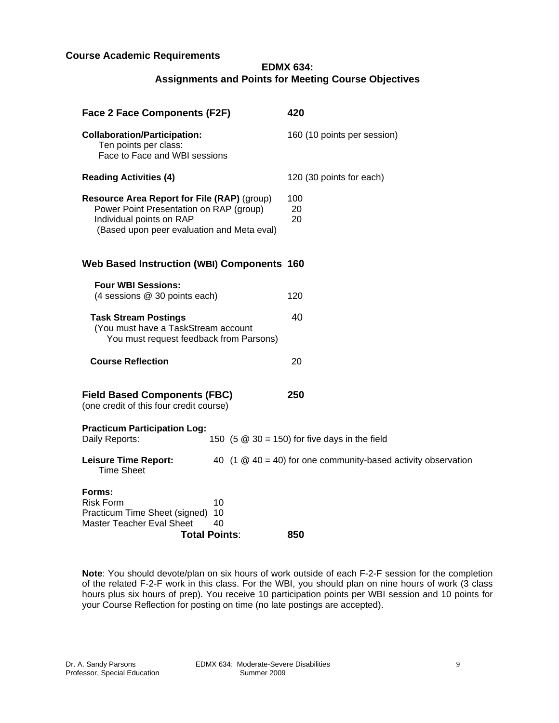# <span id="page-8-0"></span>**Course Academic Requirements**

# **EDMX 634: Assignments and Points for Meeting Course Objectives**

| <b>Face 2 Face Components (F2F)</b>                                                                                                                              | 420                                                             |  |  |  |
|------------------------------------------------------------------------------------------------------------------------------------------------------------------|-----------------------------------------------------------------|--|--|--|
| <b>Collaboration/Participation:</b><br>Ten points per class:<br>Face to Face and WBI sessions                                                                    | 160 (10 points per session)                                     |  |  |  |
| <b>Reading Activities (4)</b>                                                                                                                                    | 120 (30 points for each)                                        |  |  |  |
| Resource Area Report for File (RAP) (group)<br>Power Point Presentation on RAP (group)<br>Individual points on RAP<br>(Based upon peer evaluation and Meta eval) | 100<br>20<br>20                                                 |  |  |  |
| <b>Web Based Instruction (WBI) Components 160</b>                                                                                                                |                                                                 |  |  |  |
| <b>Four WBI Sessions:</b><br>(4 sessions @ 30 points each)                                                                                                       | 120                                                             |  |  |  |
| <b>Task Stream Postings</b><br>(You must have a TaskStream account<br>You must request feedback from Parsons)                                                    | 40                                                              |  |  |  |
| <b>Course Reflection</b>                                                                                                                                         | 20                                                              |  |  |  |
| <b>Field Based Components (FBC)</b><br>(one credit of this four credit course)                                                                                   | 250                                                             |  |  |  |
| <b>Practicum Participation Log:</b><br>Daily Reports:                                                                                                            | 150 $(5 \t@ 30 = 150)$ for five days in the field               |  |  |  |
| <b>Leisure Time Report:</b><br><b>Time Sheet</b>                                                                                                                 | 40 (1 $@$ 40 = 40) for one community-based activity observation |  |  |  |
| Forms:<br><b>Risk Form</b><br>10<br>Practicum Time Sheet (signed)<br>10<br>Master Teacher Eval Sheet<br>40<br><b>Total Points:</b>                               | 850                                                             |  |  |  |

**Note**: You should devote/plan on six hours of work outside of each F-2-F session for the completion of the related F-2-F work in this class. For the WBI, you should plan on nine hours of work (3 class hours plus six hours of prep). You receive 10 participation points per WBI session and 10 points for your Course Reflection for posting on time (no late postings are accepted).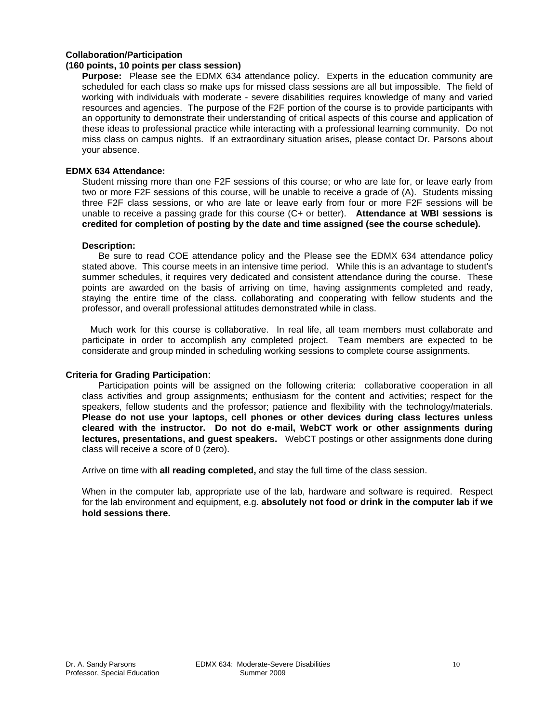### <span id="page-9-0"></span>**Collaboration/Participation**

### **(160 points, 10 points per class session)**

**Purpose:** Please see the EDMX 634 attendance policy. Experts in the education community are scheduled for each class so make ups for missed class sessions are all but impossible. The field of working with individuals with moderate - severe disabilities requires knowledge of many and varied resources and agencies. The purpose of the F2F portion of the course is to provide participants with an opportunity to demonstrate their understanding of critical aspects of this course and application of these ideas to professional practice while interacting with a professional learning community. Do not miss class on campus nights. If an extraordinary situation arises, please contact Dr. Parsons about your absence.

#### **EDMX 634 Attendance:**

Student missing more than one F2F sessions of this course; or who are late for, or leave early from two or more F2F sessions of this course, will be unable to receive a grade of (A). Students missing three F2F class sessions, or who are late or leave early from four or more F2F sessions will be unable to receive a passing grade for this course (C+ or better). **Attendance at WBI sessions is credited for completion of posting by the date and time assigned (see the course schedule).** 

#### **Description:**

Be sure to read COE attendance policy and the Please see the EDMX 634 attendance policy stated above. This course meets in an intensive time period. While this is an advantage to student's summer schedules, it requires very dedicated and consistent attendance during the course. These points are awarded on the basis of arriving on time, having assignments completed and ready, staying the entire time of the class. collaborating and cooperating with fellow students and the professor, and overall professional attitudes demonstrated while in class.

Much work for this course is collaborative. In real life, all team members must collaborate and participate in order to accomplish any completed project. Team members are expected to be considerate and group minded in scheduling working sessions to complete course assignments.

### **Criteria for Grading Participation**:

Participation points will be assigned on the following criteria: collaborative cooperation in all class activities and group assignments; enthusiasm for the content and activities; respect for the speakers, fellow students and the professor; patience and flexibility with the technology/materials. **Please do not use your laptops, cell phones or other devices during class lectures unless cleared with the instructor. Do not do e-mail, WebCT work or other assignments during lectures, presentations, and guest speakers.** WebCT postings or other assignments done during class will receive a score of 0 (zero).

Arrive on time with **all reading completed,** and stay the full time of the class session.

 **hold sessions there.** When in the computer lab, appropriate use of the lab, hardware and software is required. Respect for the lab environment and equipment, e.g. **absolutely not food or drink in the computer lab if we**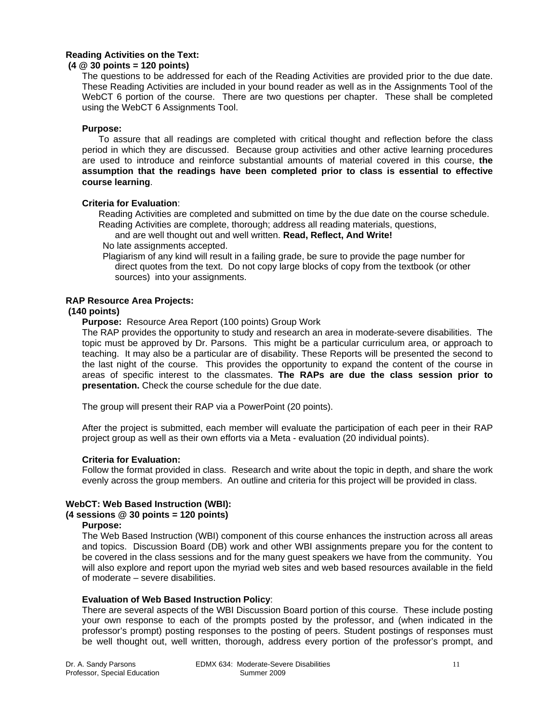# <span id="page-10-0"></span>**Reading Activities on the Text:**

### **(4 @ 30 points = 120 points)**

The questions to be addressed for each of the Reading Activities are provided prior to the due date. These Reading Activities are included in your bound reader as well as in the Assignments Tool of the WebCT 6 portion of the course. There are two questions per chapter. These shall be completed using the WebCT 6 Assignments Tool.

### **Purpose:**

To assure that all readings are completed with critical thought and reflection before the class period in which they are discussed. Because group activities and other active learning procedures are used to introduce and reinforce substantial amounts of material covered in this course, **the assumption that the readings have been completed prior to class is essential to effective course learning**.

### **Criteria for Evaluation**:

Reading Activities are completed and submitted on time by the due date on the course schedule. Reading Activities are complete, thorough; address all reading materials, questions,

and are well thought out and well written. **Read, Reflect, And Write!** 

No late assignments accepted.

Plagiarism of any kind will result in a failing grade, be sure to provide the page number for direct quotes from the text. Do not copy large blocks of copy from the textbook (or other sources) into your assignments.

### **RAP Resource Area Projects:**

### **(140 points)**

**Purpose:** Resource Area Report (100 points) Group Work

The RAP provides the opportunity to study and research an area in moderate-severe disabilities. The topic must be approved by Dr. Parsons. This might be a particular curriculum area, or approach to teaching. It may also be a particular are of disability. These Reports will be presented the second to the last night of the course. This provides the opportunity to expand the content of the course in areas of specific interest to the classmates. **The RAPs are due the class session prior to presentation.** Check the course schedule for the due date.

The group will present their RAP via a PowerPoint (20 points).

After the project is submitted, each member will evaluate the participation of each peer in their RAP project group as well as their own efforts via a Meta - evaluation (20 individual points).

# **Criteria for Evaluation:**

Follow the format provided in class. Research and write about the topic in depth, and share the work evenly across the group members. An outline and criteria for this project will be provided in class.

# **WebCT: Web Based Instruction (WBI):**

### **(4 sessions @ 30 points = 120 points)**

### **Purpose:**

The Web Based Instruction (WBI) component of this course enhances the instruction across all areas and topics. Discussion Board (DB) work and other WBI assignments prepare you for the content to be covered in the class sessions and for the many guest speakers we have from the community. You will also explore and report upon the myriad web sites and web based resources available in the field of moderate – severe disabilities.

### **Evaluation of Web Based Instruction Policy**:

There are several aspects of the WBI Discussion Board portion of this course. These include posting your own response to each of the prompts posted by the professor, and (when indicated in the professor's prompt) posting responses to the posting of peers. Student postings of responses must be well thought out, well written, thorough, address every portion of the professor's prompt, and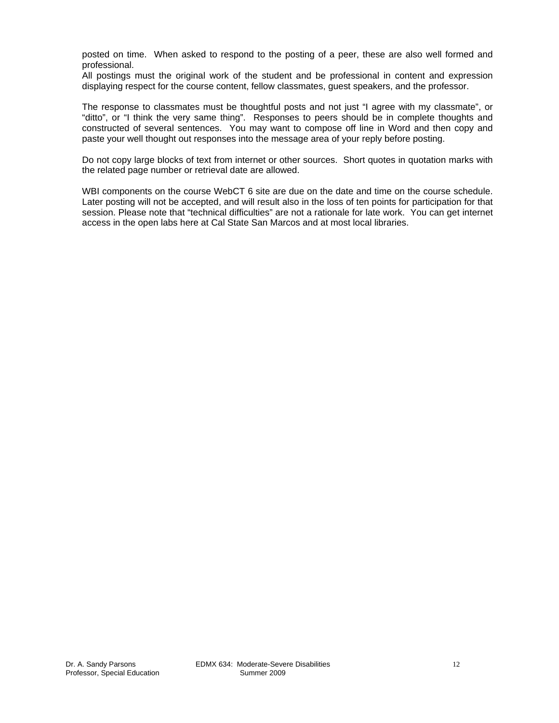posted on time. When asked to respond to the posting of a peer, these are also well formed and professional.

All postings must the original work of the student and be professional in content and expression displaying respect for the course content, fellow classmates, guest speakers, and the professor.

The response to classmates must be thoughtful posts and not just "I agree with my classmate", or "ditto", or "I think the very same thing". Responses to peers should be in complete thoughts and constructed of several sentences. You may want to compose off line in Word and then copy and paste your well thought out responses into the message area of your reply before posting.

Do not copy large blocks of text from internet or other sources. Short quotes in quotation marks with the related page number or retrieval date are allowed.

WBI components on the course WebCT 6 site are due on the date and time on the course schedule. Later posting will not be accepted, and will result also in the loss of ten points for participation for that session. Please note that "technical difficulties" are not a rationale for late work. You can get internet access in the open labs here at Cal State San Marcos and at most local libraries.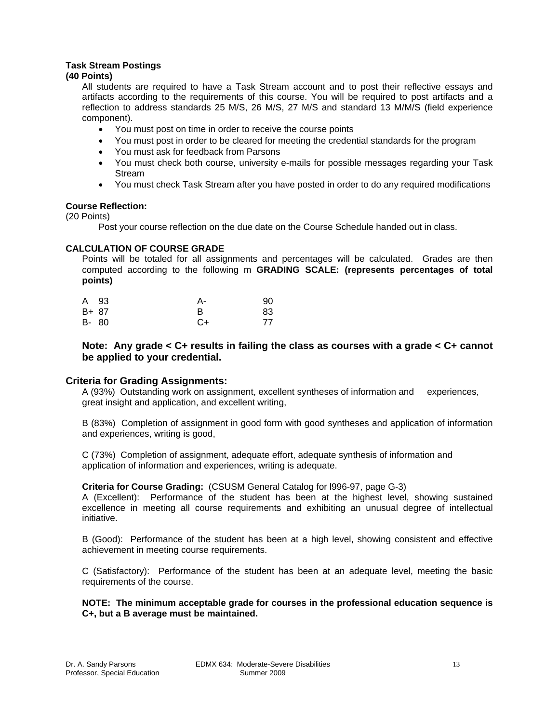# <span id="page-12-0"></span>**Task Stream Postings**

# **(40 Points)**

All students are required to have a Task Stream account and to post their reflective essays and artifacts according to the requirements of this course. You will be required to post artifacts and a reflection to address standards 25 M/S, 26 M/S, 27 M/S and standard 13 M/M/S (field experience component).

- You must post on time in order to receive the course points
- You must post in order to be cleared for meeting the credential standards for the program
- • You must ask for feedback from Parsons
- • You must check both course, university e-mails for possible messages regarding your Task Stream
- You must check Task Stream after you have posted in order to do any required modifications

### **Course Reflection:**

(20 Points)

Post your course reflection on the due date on the Course Schedule handed out in class.

### **CALCULATION OF COURSE GRADE**

Points will be totaled for all assignments and percentages will be calculated. Grades are then computed according to the following m **GRADING SCALE: (represents percentages of total points)** 

|       | A 93  | А-   | 90 |
|-------|-------|------|----|
| B+ 87 |       |      | 83 |
|       | B- 80 | $C+$ | 77 |

### **Note: Any grade < C+ results in failing the class as courses with a grade < C+ cannot be applied to your credential.**

# **Criteria for Grading Assignments:**

A (93%) Outstanding work on assignment, excellent syntheses of information and experiences, great insight and application, and excellent writing,

B (83%) Completion of assignment in good form with good syntheses and application of information and experiences, writing is good,

C (73%) Completion of assignment, adequate effort, adequate synthesis of information and application of information and experiences, writing is adequate.

### **Criteria for Course Grading:** (CSUSM General Catalog for l996-97, page G-3)

A (Excellent): Performance of the student has been at the highest level, showing sustained excellence in meeting all course requirements and exhibiting an unusual degree of intellectual initiative.

B (Good): Performance of the student has been at a high level, showing consistent and effective achievement in meeting course requirements.

C (Satisfactory): Performance of the student has been at an adequate level, meeting the basic requirements of the course.

**NOTE: The minimum acceptable grade for courses in the professional education sequence is C+, but a B average must be maintained.**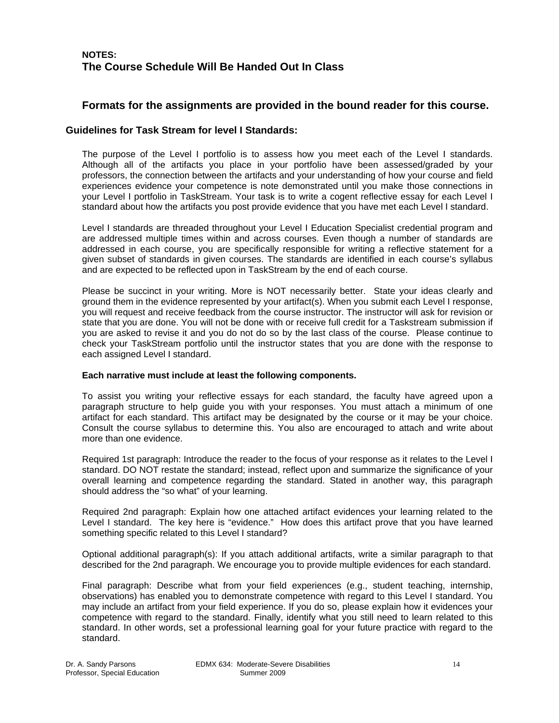# <span id="page-13-0"></span>**NOTES: The Course Schedule Will Be Handed Out In Class**

# **Formats for the assignments are provided in the bound reader for this course.**

# **Guidelines for Task Stream for level I Standards:**

The purpose of the Level I portfolio is to assess how you meet each of the Level I standards. Although all of the artifacts you place in your portfolio have been assessed/graded by your professors, the connection between the artifacts and your understanding of how your course and field experiences evidence your competence is note demonstrated until you make those connections in your Level I portfolio in TaskStream. Your task is to write a cogent reflective essay for each Level I standard about how the artifacts you post provide evidence that you have met each Level I standard.

Level I standards are threaded throughout your Level I Education Specialist credential program and are addressed multiple times within and across courses. Even though a number of standards are addressed in each course, you are specifically responsible for writing a reflective statement for a given subset of standards in given courses. The standards are identified in each course's syllabus and are expected to be reflected upon in TaskStream by the end of each course.

Please be succinct in your writing. More is NOT necessarily better. State your ideas clearly and ground them in the evidence represented by your artifact(s). When you submit each Level I response, you will request and receive feedback from the course instructor. The instructor will ask for revision or state that you are done. You will not be done with or receive full credit for a Taskstream submission if you are asked to revise it and you do not do so by the last class of the course. Please continue to check your TaskStream portfolio until the instructor states that you are done with the response to each assigned Level I standard.

### **Each narrative must include at least the following components.**

To assist you writing your reflective essays for each standard, the faculty have agreed upon a paragraph structure to help guide you with your responses. You must attach a minimum of one artifact for each standard. This artifact may be designated by the course or it may be your choice. Consult the course syllabus to determine this. You also are encouraged to attach and write about more than one evidence.

Required 1st paragraph: Introduce the reader to the focus of your response as it relates to the Level I standard. DO NOT restate the standard; instead, reflect upon and summarize the significance of your overall learning and competence regarding the standard. Stated in another way, this paragraph should address the "so what" of your learning.

Required 2nd paragraph: Explain how one attached artifact evidences your learning related to the Level I standard. The key here is "evidence." How does this artifact prove that you have learned something specific related to this Level I standard?

Optional additional paragraph(s): If you attach additional artifacts, write a similar paragraph to that described for the 2nd paragraph. We encourage you to provide multiple evidences for each standard.

Final paragraph: Describe what from your field experiences (e.g., student teaching, internship, observations) has enabled you to demonstrate competence with regard to this Level I standard. You may include an artifact from your field experience. If you do so, please explain how it evidences your competence with regard to the standard. Finally, identify what you still need to learn related to this standard. In other words, set a professional learning goal for your future practice with regard to the standard.